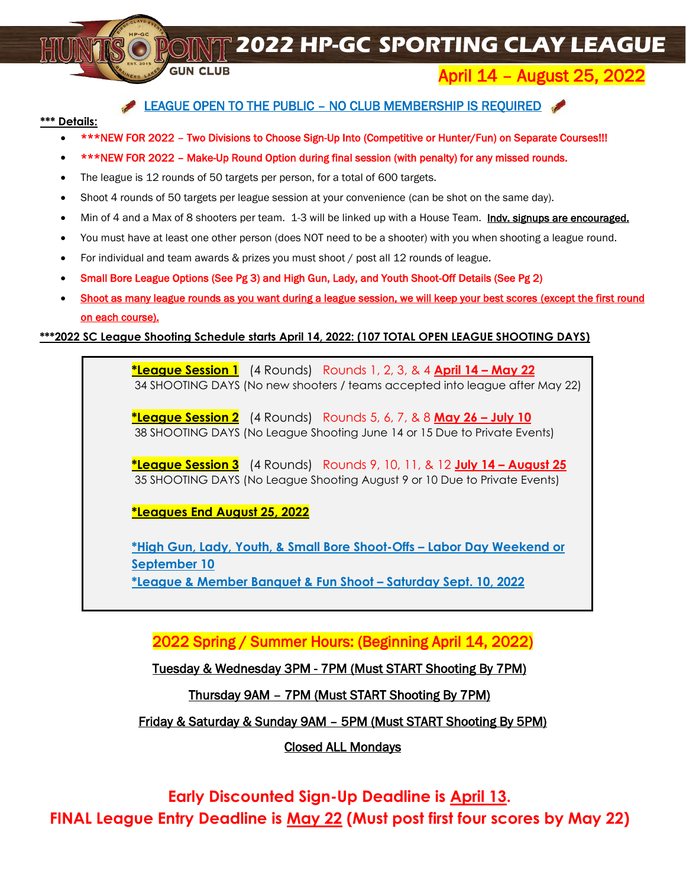**2022 HP-GC SPORTING CLAY LEAGUE** 

# April 14 – August 25, 2022

### LEAGUE OPEN TO THE PUBLIC - NO CLUB MEMBERSHIP IS REQUIRED

### **\*\*\* Details:**

- \*\*\*NEW FOR 2022 Two Divisions to Choose Sign-Up Into (Competitive or Hunter/Fun) on Separate Courses!!!
- \*\*\*NEW FOR 2022 Make-Up Round Option during final session (with penalty) for any missed rounds.
- The league is 12 rounds of 50 targets per person, for a total of 600 targets.

**GUN CLUB** 

- Shoot 4 rounds of 50 targets per league session at your convenience (can be shot on the same day).
- Min of 4 and a Max of 8 shooters per team. 1-3 will be linked up with a House Team. Indy, signups are encouraged.
- You must have at least one other person (does NOT need to be a shooter) with you when shooting a league round.
- For individual and team awards & prizes you must shoot / post all 12 rounds of league.
- Small Bore League Options (See Pg 3) and High Gun, Lady, and Youth Shoot-Off Details (See Pg 2)
- Shoot as many league rounds as you want during a league session, we will keep your best scores (except the first round on each course).

### **\*\*\*2022 SC League Shooting Schedule starts April 14, 2022: (107 TOTAL OPEN LEAGUE SHOOTING DAYS)**

**\*League Session 1** (4 Rounds) Rounds 1, 2, 3, & 4 **April 14 – May 22** 34 SHOOTING DAYS (No new shooters / teams accepted into league after May 22)

**\*League Session 2** (4 Rounds) Rounds 5, 6, 7, & 8 **May 26 – July 10** 38 SHOOTING DAYS (No League Shooting June 14 or 15 Due to Private Events)

**\*League Session 3** (4 Rounds) Rounds 9, 10, 11, & 12 **July 14 – August 25** 35 SHOOTING DAYS (No League Shooting August 9 or 10 Due to Private Events)

**\*Leagues End August 25, 2022**

**\*High Gun, Lady, Youth, & Small Bore Shoot-Offs – Labor Day Weekend or September 10 \*League & Member Banquet & Fun Shoot – Saturday Sept. 10, 2022**

2022 Spring / Summer Hours: (Beginning April 14, 2022)

Tuesday & Wednesday 3PM - 7PM (Must START Shooting By 7PM)

Thursday 9AM – 7PM (Must START Shooting By 7PM)

Friday & Saturday & Sunday 9AM – 5PM (Must START Shooting By 5PM)

Closed ALL Mondays

**Early Discounted Sign-Up Deadline is April 13. FINAL League Entry Deadline is May 22 (Must post first four scores by May 22)**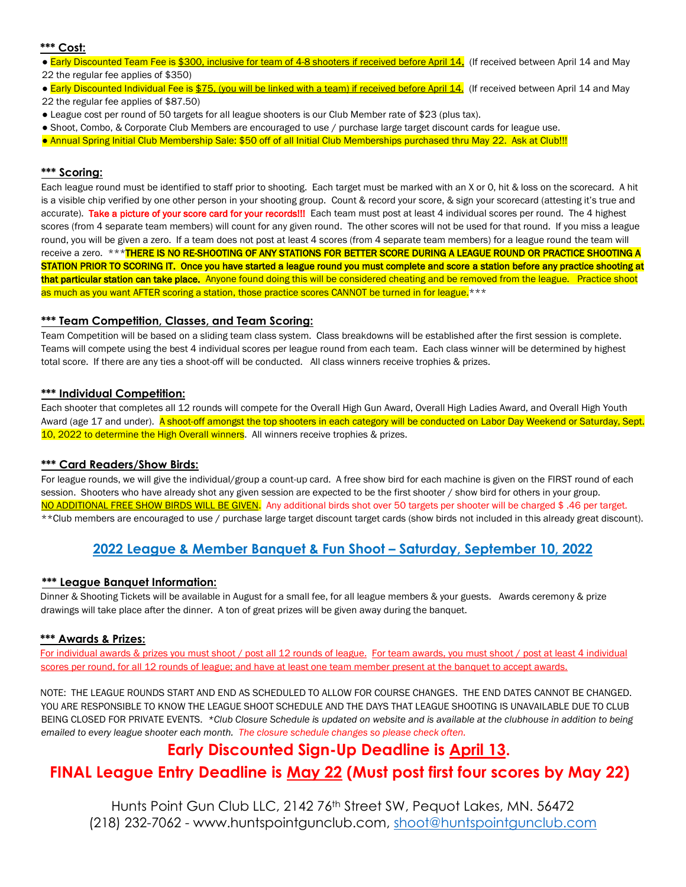#### **\*\*\* Cost:**

- Early Discounted Team Fee is \$300, inclusive for team of 4-8 shooters if received before April 14. (If received between April 14 and May 22 the regular fee applies of \$350)
- Early Discounted Individual Fee is \$75, (you will be linked with a team) if received before April 14. (If received between April 14 and May 22 the regular fee applies of \$87.50)
- League cost per round of 50 targets for all league shooters is our Club Member rate of \$23 (plus tax).
- Shoot, Combo, & Corporate Club Members are encouraged to use / purchase large target discount cards for league use.
- Annual Spring Initial Club Membership Sale: \$50 off of all Initial Club Memberships purchased thru May 22. Ask at Club!!!

### **\*\*\* Scoring:**

Each league round must be identified to staff prior to shooting. Each target must be marked with an X or 0, hit & loss on the scorecard. A hit is a visible chip verified by one other person in your shooting group. Count & record your score, & sign your scorecard (attesting it's true and accurate). Take a picture of your score card for your records!!! Each team must post at least 4 individual scores per round. The 4 highest scores (from 4 separate team members) will count for any given round. The other scores will not be used for that round. If you miss a league round, you will be given a zero. If a team does not post at least 4 scores (from 4 separate team members) for a league round the team will receive a zero. \*\*\*THERE IS NO RE-SHOOTING OF ANY STATIONS FOR BETTER SCORE DURING A LEAGUE ROUND OR PRACTICE SHOOTING A STATION PRIOR TO SCORING IT. Once you have started a league round you must complete and score a station before any practice shooting at that particular station can take place. Anyone found doing this will be considered cheating and be removed from the league. Practice shoot as much as you want AFTER scoring a station, those practice scores CANNOT be turned in for league.<sup>\*\*\*</sup>

#### **\*\*\* Team Competition, Classes, and Team Scoring:**

Team Competition will be based on a sliding team class system. Class breakdowns will be established after the first session is complete. Teams will compete using the best 4 individual scores per league round from each team. Each class winner will be determined by highest total score. If there are any ties a shoot-off will be conducted. All class winners receive trophies & prizes.

### **\*\*\* Individual Competition:**

Each shooter that completes all 12 rounds will compete for the Overall High Gun Award, Overall High Ladies Award, and Overall High Youth Award (age 17 and under). A shoot-off amongst the top shooters in each category will be conducted on Labor Day Weekend or Saturday, Sept. 10, 2022 to determine the High Overall winners. All winners receive trophies & prizes.

#### **\*\*\* Card Readers/Show Birds:**

For league rounds, we will give the individual/group a count-up card. A free show bird for each machine is given on the FIRST round of each session. Shooters who have already shot any given session are expected to be the first shooter / show bird for others in your group. NO ADDITIONAL FREE SHOW BIRDS WILL BE GIVEN. Any additional birds shot over 50 targets per shooter will be charged \$ .46 per target. \*\*Club members are encouraged to use / purchase large target discount target cards (show birds not included in this already great discount).

### **2022 League & Member Banquet & Fun Shoot – Saturday, September 10, 2022**

#### **\*\*\* League Banquet Information:**

Dinner & Shooting Tickets will be available in August for a small fee, for all league members & your guests. Awards ceremony & prize drawings will take place after the dinner. A ton of great prizes will be given away during the banquet.

#### **\*\*\* Awards & Prizes:**

For individual awards & prizes you must shoot / post all 12 rounds of league. For team awards, you must shoot / post at least 4 individual scores per round, for all 12 rounds of league; and have at least one team member present at the banquet to accept awards.

NOTE: THE LEAGUE ROUNDS START AND END AS SCHEDULED TO ALLOW FOR COURSE CHANGES. THE END DATES CANNOT BE CHANGED. YOU ARE RESPONSIBLE TO KNOW THE LEAGUE SHOOT SCHEDULE AND THE DAYS THAT LEAGUE SHOOTING IS UNAVAILABLE DUE TO CLUB BEING CLOSED FOR PRIVATE EVENTS. *\*Club Closure Schedule is updated on website and is available at the clubhouse in addition to being emailed to every league shooter each month. The closure schedule changes so please check often.*

### **Early Discounted Sign-Up Deadline is April 13.**

### **FINAL League Entry Deadline is May 22 (Must post first four scores by May 22)**

Hunts Point Gun Club LLC, 2142 76<sup>th</sup> Street SW, Pequot Lakes, MN, 56472 (218) 232-7062 - [www.huntspointgunclub.com,](http://www.huntspointgunclub.com/) [shoot@huntspointgunclub.com](mailto:shoot@huntspointgunclub.com)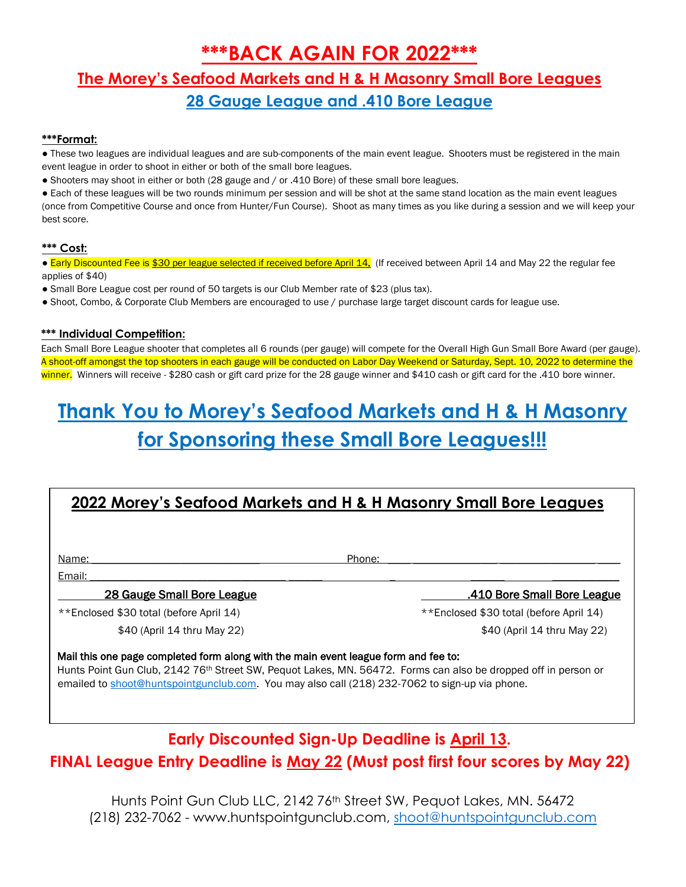# **\*\*\*BACK AGAIN FOR 2022\*\*\***

# **The Morey's Seafood Markets and H & H Masonry Small Bore Leagues 28 Gauge League and .410 Bore League**

### **\*\*\*Format:**

- These two leagues are individual leagues and are sub-components of the main event league. Shooters must be registered in the main event league in order to shoot in either or both of the small bore leagues.
- Shooters may shoot in either or both (28 gauge and / or .410 Bore) of these small bore leagues.

● Each of these leagues will be two rounds minimum per session and will be shot at the same stand location as the main event leagues (once from Competitive Course and once from Hunter/Fun Course). Shoot as many times as you like during a session and we will keep your best score.

### **\*\*\* Cost:**

• Early Discounted Fee is \$30 per league selected if received before April 14. (If received between April 14 and May 22 the regular fee applies of \$40)

- Small Bore League cost per round of 50 targets is our Club Member rate of \$23 (plus tax).
- Shoot, Combo, & Corporate Club Members are encouraged to use / purchase large target discount cards for league use.

### **\*\*\* Individual Competition:**

Each Small Bore League shooter that completes all 6 rounds (per gauge) will compete for the Overall High Gun Small Bore Award (per gauge). A shoot-off amongst the top shooters in each gauge will be conducted on Labor Day Weekend or Saturday, Sept. 10, 2022 to determine the winner. Winners will receive - \$280 cash or gift card prize for the 28 gauge winner and \$410 cash or gift card for the .410 bore winner.

# **Thank You to Morey's Seafood Markets and H & H Masonry for Sponsoring these Small Bore Leagues!!!**

## **2022 Morey's Seafood Markets and H & H Masonry Small Bore Leagues**

Name: \_\_\_\_\_\_\_\_\_\_\_\_\_\_\_\_\_\_\_\_\_\_\_\_\_\_\_\_\_\_ Phone: \_\_\_\_ \_\_\_\_\_\_\_\_\_\_\_\_\_\_\_ \_\_\_\_\_\_\_\_\_\_\_\_\_\_\_\_\_ \_\_\_\_

### Email: \_\_\_\_\_\_\_\_\_\_\_\_\_\_\_\_\_\_\_\_\_\_\_\_\_\_\_\_\_\_\_\_\_\_\_ \_\_\_\_\_\_ \_ \_\_\_\_\_\_ \_\_\_\_\_\_\_\_\_\_\_\_

28 Gauge Small Bore League .410 Bore Small Bore League

\*\*Enclosed \$30 total (before April 14) \*\*Enclosed \$30 total (before April 14)

\$40 (April 14 thru May 22) \$40 (April 14 thru May 22)

### Mail this one page completed form along with the main event league form and fee to:

Hunts Point Gun Club, 2142 76<sup>th</sup> Street SW, Pequot Lakes, MN. 56472. Forms can also be dropped off in person or emailed t[o shoot@huntspointgunclub.com.](mailto:shoot@huntspointgunclub.com) You may also call (218) 232-7062 to sign-up via phone.

# **Early Discounted Sign-Up Deadline is April 13. FINAL League Entry Deadline is May 22 (Must post first four scores by May 22)**

Hunts Point Gun Club LLC, 2142 76<sup>th</sup> Street SW, Pequot Lakes, MN, 56472 (218) 232-7062 - [www.huntspointgunclub.com,](http://www.huntspointgunclub.com/) [shoot@huntspointgunclub.com](mailto:shoot@huntspointgunclub.com)